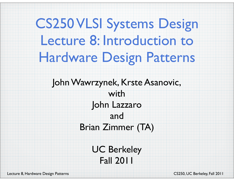## CS250 VLSI Systems Design Lecture 8: Introduction to Hardware Design Patterns

### John Wawrzynek, Krste Asanovic, with John Lazzaro and Brian Zimmer (TA)

UC Berkeley Fall 2011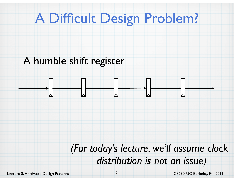### A Difficult Design Problem?

### A humble shift register



### *(For today's lecture, we'll assume clock distribution is not an issue)*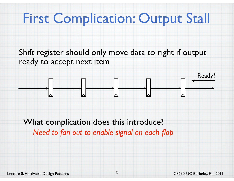### First Complication: Output Stall

Shift register should only move data to right if output ready to accept next item



What complication does this introduce? *Need to fan out to enable signal on each flop*

3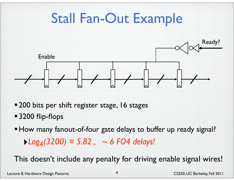

- 200 bits per shift register stage, 16 stages
- **3200 flip-flops**
- How many fanout-of-four gate delays to buffer up ready signal?
	- $\blacktriangleright$  Log<sub>4</sub>(3200) = 5.82,  $\sim$  6 FO4 delays!

This doesn't include any penalty for driving enable signal wires!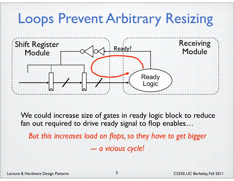### Loops Prevent Arbitrary Resizing



We could increase size of gates in ready logic block to reduce fan out required to drive ready signal to flop enables…

*But this increases load on flops, so they have to get bigger --- a vicious cycle!*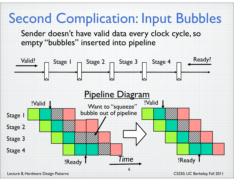### Second Complication: Input Bubbles

Sender doesn't have valid data every clock cycle, so empty "bubbles" inserted into pipeline

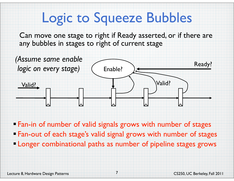## Logic to Squeeze Bubbles

Can move one stage to right if Ready asserted, or if there are any bubbles in stages to right of current stage



Fan-in of number of valid signals grows with number of stages

- Fan-out of each stage's valid signal grows with number of stages
- Longer combinational paths as number of pipeline stages grows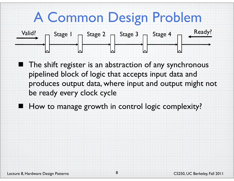## A Common Design Problem



The shift register is an abstraction of any synchronous pipelined block of logic that accepts input data and produces output data, where input and output might not be ready every clock cycle

How to manage growth in control logic complexity?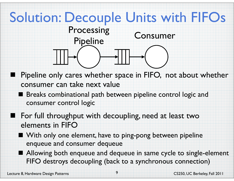### Solution: Decouple Units with FIFOs



- Pipeline only cares whether space in FIFO, not about whether consumer can take next value
- **Breaks combinational path between pipeline control logic and** consumer control logic
- For full throughput with decoupling, need at least two elements in FIFO
	- With only one element, have to ping-pong between pipeline enqueue and consumer dequeue
	- Allowing both enqueue and dequeue in same cycle to single-element FIFO destroys decoupling (back to a synchronous connection)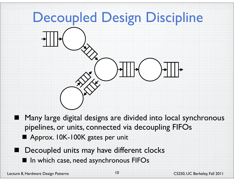## Decoupled Design Discipline

- 
- Many large digital designs are divided into local synchronous pipelines, or units, connected via decoupling FIFOs
- Approx. 10K-100K gates per unit
- Decoupled units may have different clocks
- In which case, need asynchronous FIFOs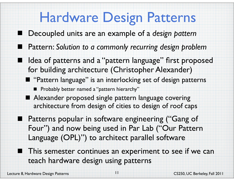### Hardware Design Patterns

- Decoupled units are an example of a *design pattern*
- Pattern: *Solution to a commonly recurring design problem*
- Idea of patterns and a "pattern language" first proposed for building architecture (Christopher Alexander)
- **T** "Pattern language" is an interlocking set of design patterns **Probably better named a "pattern hierarchy"**
- Alexander proposed single pattern language covering architecture from design of cities to design of roof caps
- **Patterns popular in software engineering ("Gang of** Four") and now being used in Par Lab ("Our Pattern Language (OPL)") to architect parallel software
	- This semester continues an experiment to see if we can teach hardware design using patterns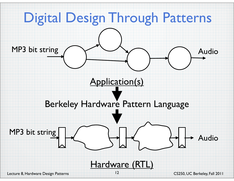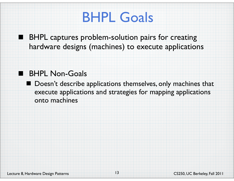### BHPL Goals

■ BHPL captures problem-solution pairs for creating hardware designs (machines) to execute applications

### **BHPL Non-Goals**

■ Doesn't describe applications themselves, only machines that execute applications and strategies for mapping applications onto machines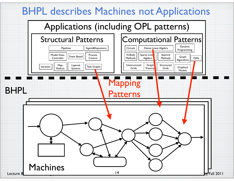### BHPL describes Machines not Applications

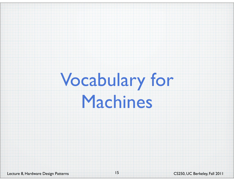# Vocabulary for Machines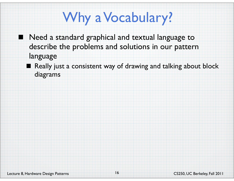## Why a Vocabulary?

- Need a standard graphical and textual language to describe the problems and solutions in our pattern language
	- Really just a consistent way of drawing and talking about block diagrams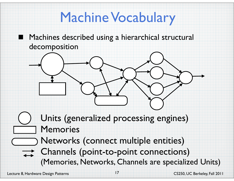## Machine Vocabulary

Machines described using a hierarchical structural decomposition

Units (generalized processing engines) Memories

Networks (connect multiple entities) **Channels (point-to-point connections)** (Memories, Networks, Channels are specialized Units)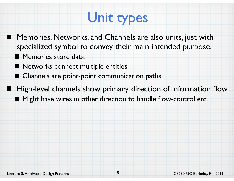## Unit types

- Memories, Networks, and Channels are also units, just with specialized symbol to convey their main intended purpose.
	- **Memories store data.** 
		- Networks connect multiple entities
	- **Channels are point-point communication paths**
- High-level channels show primary direction of information flow
	- Might have wires in other direction to handle flow-control etc.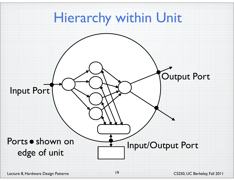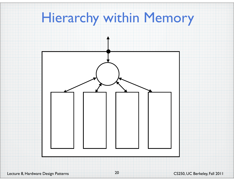### Hierarchy within Memory

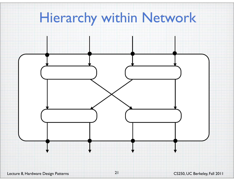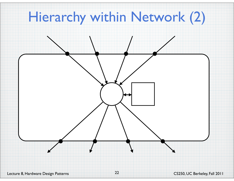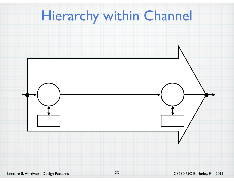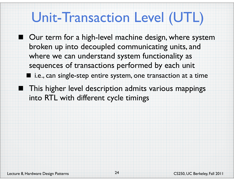### Unit-Transaction Level (UTL)

■ Our term for a high-level machine design, where system broken up into decoupled communicating units, and where we can understand system functionality as sequences of transactions performed by each unit ■ i.e., can single-step entire system, one transaction at a time

**This higher level description admits various mappings** into RTL with different cycle timings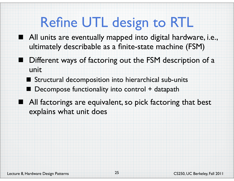### Refine UTL design to RTL

- All units are eventually mapped into digital hardware, i.e., ultimately describable as a finite-state machine (FSM)
	- Different ways of factoring out the FSM description of a unit
		- Structural decomposition into hierarchical sub-units
		- Decompose functionality into control + datapath
- All factorings are equivalent, so pick factoring that best explains what unit does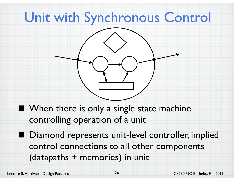### Unit with Synchronous Control



- **Notai** When there is only a single state machine controlling operation of a unit
- Diamond represents unit-level controller, implied control connections to all other components (datapaths + memories) in unit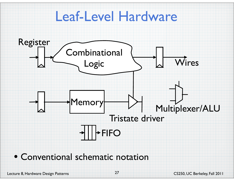### Leaf-Level Hardware



### • Conventional schematic notation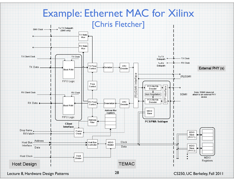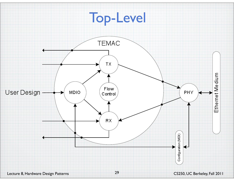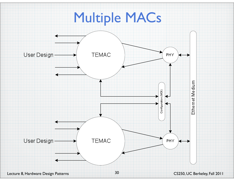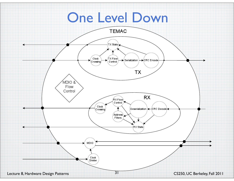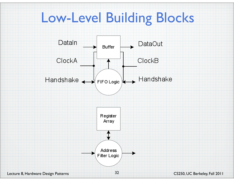### Low-Level Building Blocks

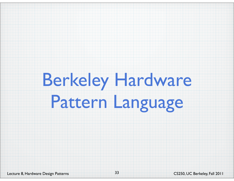# Berkeley Hardware Pattern Language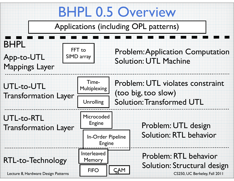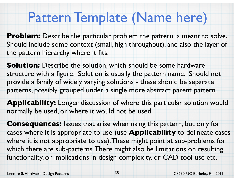### Pattern Template (Name here)

**Problem:** Describe the particular problem the pattern is meant to solve. Should include some context (small, high throughput), and also the layer of the pattern hierarchy where it fits.

**Solution:** Describe the solution, which should be some hardware structure with a figure. Solution is usually the pattern name. Should not provide a family of widely varying solutions - these should be separate patterns, possibly grouped under a single more abstract parent pattern.

**Applicability:** Longer discussion of where this particular solution would normally be used, or where it would not be used.

**Consequences:** Issues that arise when using this pattern, but only for cases where it is appropriate to use (use **Applicability** to delineate cases where it is not appropriate to use). These might point at sub-problems for which there are sub-patterns. There might also be limitations on resulting functionality, or implications in design complexity, or CAD tool use etc.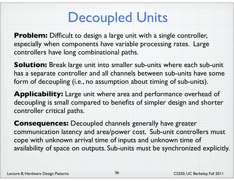### Decoupled Units

**Problem:** Difficult to design a large unit with a single controller, especially when components have variable processing rates. Large controllers have long combinational paths.

**Solution:** Break large unit into smaller sub-units where each sub-unit has a separate controller and all channels between sub-units have some form of decoupling (i.e., no assumption about timing of sub-units).

**Applicability:** Large unit where area and performance overhead of decoupling is small compared to benefits of simpler design and shorter controller critical paths.

**Consequences:** Decoupled channels generally have greater communication latency and area/power cost. Sub-unit controllers must cope with unknown arrival time of inputs and unknown time of availability of space on outputs. Sub-units must be synchronized explicitly.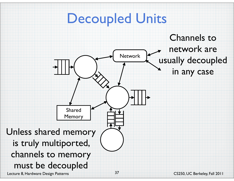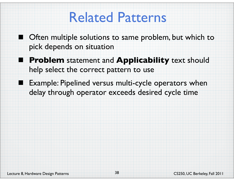### Related Patterns

- Often multiple solutions to same problem, but which to pick depends on situation
- **Problem** statement and **Applicability** text should help select the correct pattern to use
- Example: Pipelined versus multi-cycle operators when delay through operator exceeds desired cycle time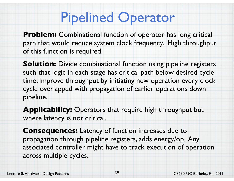### Pipelined Operator

**Problem:** Combinational function of operator has long critical path that would reduce system clock frequency. High throughput of this function is required.

**Solution:** Divide combinational function using pipeline registers such that logic in each stage has critical path below desired cycle time. Improve throughput by initiating new operation every clock cycle overlapped with propagation of earlier operations down pipeline.

**Applicability:** Operators that require high throughput but where latency is not critical.

**Consequences:** Latency of function increases due to propagation through pipeline registers, adds energy/op. Any associated controller might have to track execution of operation across multiple cycles.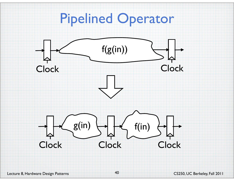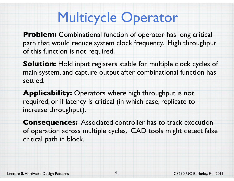## Multicycle Operator

**Problem:** Combinational function of operator has long critical path that would reduce system clock frequency. High throughput of this function is not required.

**Solution:** Hold input registers stable for multiple clock cycles of main system, and capture output after combinational function has settled.

**Applicability:** Operators where high throughput is not required, or if latency is critical (in which case, replicate to increase throughput).

**Consequences:** Associated controller has to track execution of operation across multiple cycles. CAD tools might detect false critical path in block.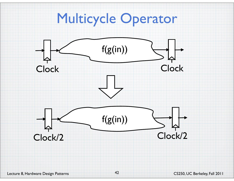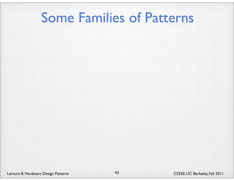### Some Families of Patterns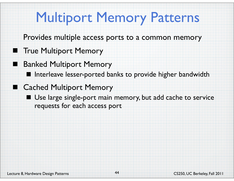## Multiport Memory Patterns

- Provides multiple access ports to a common memory
- **The Multiport Memory** 
	- Banked Multiport Memory
		- I Interleave lesser-ported banks to provide higher bandwidth
- Cached Multiport Memory
	- Use large single-port main memory, but add cache to service requests for each access port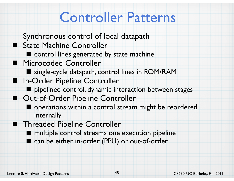## Controller Patterns

- Synchronous control of local datapath
- State Machine Controller
	- $\blacksquare$  control lines generated by state machine
- **Microcoded Controller** 
	- single-cycle datapath, control lines in ROM/RAM
- In-Order Pipeline Controller
	- pipelined control, dynamic interaction between stages
- Out-of-Order Pipeline Controller
	- operations within a control stream might be reordered internally
- **Threaded Pipeline Controller** 
	- **nultiple control streams one execution pipeline**
	- can be either in-order (PPU) or out-of-order